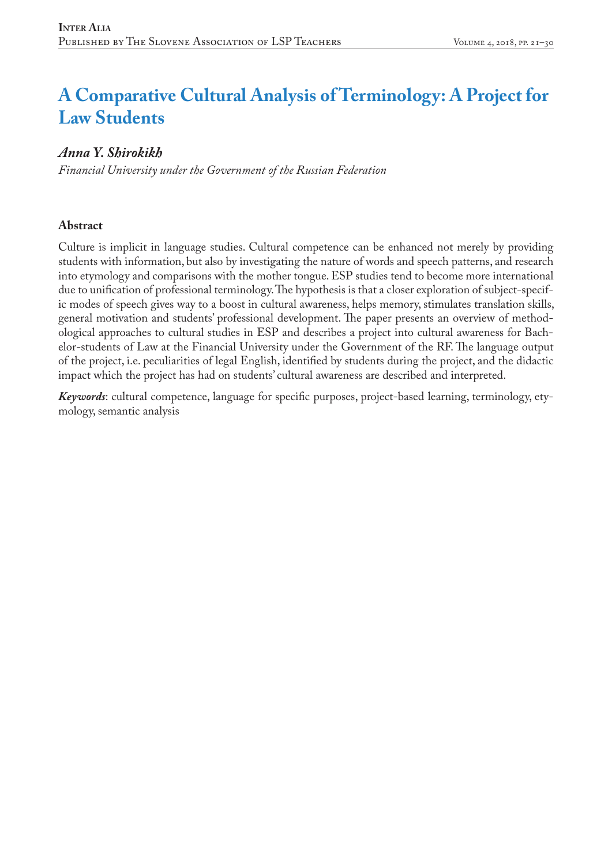# **A Comparative Cultural Analysis of Terminology: A Project for Law Students**

## *Anna Y. Shirokikh*

*Financial University under the Government of the Russian Federation*

#### **Abstract**

Culture is implicit in language studies. Cultural competence can be enhanced not merely by providing students with information, but also by investigating the nature of words and speech patterns, and research into etymology and comparisons with the mother tongue. ESP studies tend to become more international due to unification of professional terminology. The hypothesis is that a closer exploration of subject-specific modes of speech gives way to a boost in cultural awareness, helps memory, stimulates translation skills, general motivation and students' professional development. The paper presents an overview of methodological approaches to cultural studies in ESP and describes a project into cultural awareness for Bachelor-students of Law at the Financial University under the Government of the RF. The language output of the project, i.e. peculiarities of legal English, identified by students during the project, and the didactic impact which the project has had on students' cultural awareness are described and interpreted.

*Keywords*: cultural competence, language for specific purposes, project-based learning, terminology, etymology, semantic analysis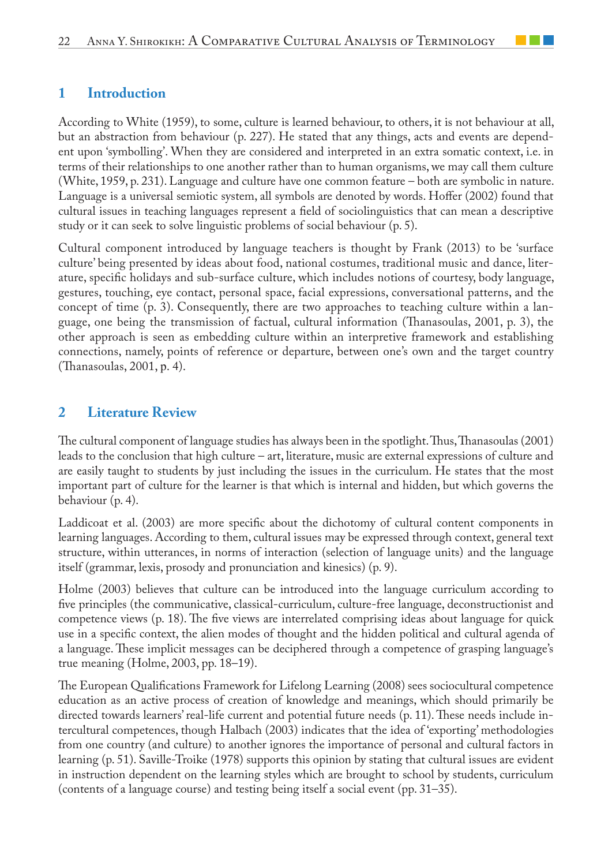### **1 Introduction**

According to White (1959), to some, culture is learned behaviour, to others, it is not behaviour at all, but an abstraction from behaviour (p. 227). He stated that any things, acts and events are dependent upon 'symbolling'. When they are considered and interpreted in an extra somatic context, i.e. in terms of their relationships to one another rather than to human organisms, we may call them culture (White, 1959, p. 231). Language and culture have one common feature – both are symbolic in nature. Language is a universal semiotic system, all symbols are denoted by words. Hoffer (2002) found that cultural issues in teaching languages represent a field of sociolinguistics that can mean a descriptive study or it can seek to solve linguistic problems of social behaviour (p. 5).

Cultural component introduced by language teachers is thought by Frank (2013) to be 'surface culture' being presented by ideas about food, national costumes, traditional music and dance, literature, specific holidays and sub-surface culture, which includes notions of courtesy, body language, gestures, touching, eye contact, personal space, facial expressions, conversational patterns, and the concept of time (p. 3). Consequently, there are two approaches to teaching culture within a language, one being the transmission of factual, cultural information (Thanasoulas, 2001, p. 3), the other approach is seen as embedding culture within an interpretive framework and establishing connections, namely, points of reference or departure, between one's own and the target country (Thanasoulas, 2001, р. 4).

### **2 Literature Review**

The cultural component of language studies has always been in the spotlight. Thus, Thanasoulas (2001) leads to the conclusion that high culture – art, literature, music are external expressions of culture and are easily taught to students by just including the issues in the curriculum. He states that the most important part of culture for the learner is that which is internal and hidden, but which governs the behaviour (p. 4).

Laddicoat et al. (2003) are more specific about the dichotomy of cultural content components in learning languages. According to them, cultural issues may be expressed through context, general text structure, within utterances, in norms of interaction (selection of language units) and the language itself (grammar, lexis, prosody and pronunciation and kinesics) (p. 9).

Holme (2003) believes that culture can be introduced into the language curriculum according to five principles (the communicative, classical-curriculum, culture-free language, deconstructionist and competence views (p. 18). The five views are interrelated comprising ideas about language for quick use in a specific context, the alien modes of thought and the hidden political and cultural agenda of a language. These implicit messages can be deciphered through a competence of grasping language's true meaning (Holme, 2003, pp. 18–19).

The European Qualifications Framework for Lifelong Learning (2008) sees sociocultural competence education as an active process of creation of knowledge and meanings, which should primarily be directed towards learners' real-life current and potential future needs (p. 11). These needs include intercultural competences, though Halbach (2003) indicates that the idea of 'exporting' methodologies from one country (and culture) to another ignores the importance of personal and cultural factors in learning (p. 51). Saville-Troike (1978) supports this opinion by stating that cultural issues are evident in instruction dependent on the learning styles which are brought to school by students, curriculum (contents of a language course) and testing being itself a social event (pp. 31–35).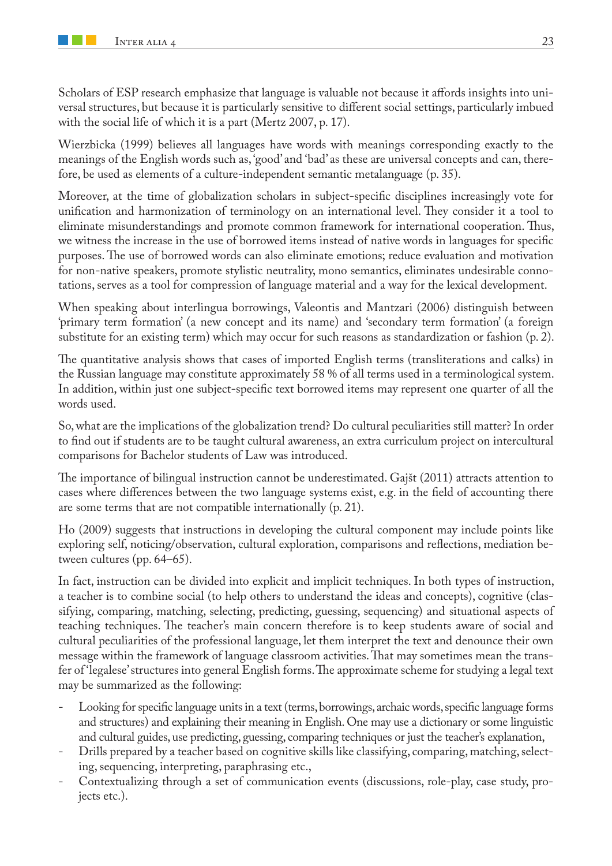Scholars of ESP research emphasize that language is valuable not because it affords insights into universal structures, but because it is particularly sensitive to different social settings, particularly imbued with the social life of which it is a part (Mertz 2007, p. 17).

Wierzbicka (1999) believes all languages have words with meanings corresponding exactly to the meanings of the English words such as, 'good' and 'bad' as these are universal concepts and can, therefore, be used as elements of a culture-independent semantic metalanguage (p. 35).

Moreover, at the time of globalization scholars in subject-specific disciplines increasingly vote for unification and harmonization of terminology on an international level. They consider it a tool to eliminate misunderstandings and promote common framework for international cooperation. Thus, we witness the increase in the use of borrowed items instead of native words in languages for specific purposes. The use of borrowed words can also eliminate emotions; reduce evaluation and motivation for non-native speakers, promote stylistic neutrality, mono semantics, eliminates undesirable connotations, serves as a tool for compression of language material and a way for the lexical development.

When speaking about interlingua borrowings, Valeontis and Mantzari (2006) distinguish between 'primary term formation' (a new concept and its name) and 'secondary term formation' (a foreign substitute for an existing term) which may occur for such reasons as standardization or fashion (p. 2).

The quantitative analysis shows that cases of imported English terms (transliterations and calks) in the Russian language may constitute approximately 58 % of all terms used in a terminological system. In addition, within just one subject-specific text borrowed items may represent one quarter of all the words used.

So, what are the implications of the globalization trend? Do cultural peculiarities still matter? In order to find out if students are to be taught cultural awareness, an extra curriculum project on intercultural comparisons for Bachelor students of Law was introduced.

The importance of bilingual instruction cannot be underestimated. Gajšt (2011) attracts attention to cases where differences between the two language systems exist, e.g. in the field of accounting there are some terms that are not compatible internationally (p. 21).

Ho (2009) suggests that instructions in developing the cultural component may include points like exploring self, noticing/observation, cultural exploration, comparisons and reflections, mediation between cultures (pp. 64–65).

In fact, instruction can be divided into explicit and implicit techniques. In both types of instruction, a teacher is to combine social (to help others to understand the ideas and concepts), cognitive (classifying, comparing, matching, selecting, predicting, guessing, sequencing) and situational aspects of teaching techniques. The teacher's main concern therefore is to keep students aware of social and cultural peculiarities of the professional language, let them interpret the text and denounce their own message within the framework of language classroom activities. That may sometimes mean the transfer of 'legalese' structures into general English forms. The approximate scheme for studying a legal text may be summarized as the following:

- Looking for specific language units in a text (terms, borrowings, archaic words, specific language forms and structures) and explaining their meaning in English. One may use a dictionary or some linguistic and cultural guides, use predicting, guessing, comparing techniques or just the teacher's explanation,
- Drills prepared by a teacher based on cognitive skills like classifying, comparing, matching, selecting, sequencing, interpreting, paraphrasing etc.,
- Contextualizing through a set of communication events (discussions, role-play, case study, projects etc.).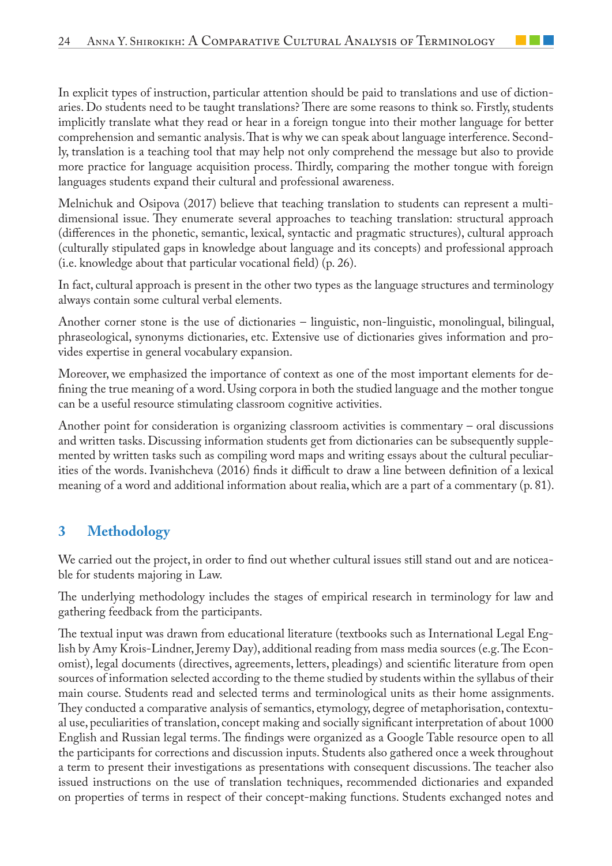In explicit types of instruction, particular attention should be paid to translations and use of dictionaries. Do students need to be taught translations? There are some reasons to think so. Firstly, students implicitly translate what they read or hear in a foreign tongue into their mother language for better comprehension and semantic analysis. That is why we can speak about language interference. Secondly, translation is a teaching tool that may help not only comprehend the message but also to provide more practice for language acquisition process. Thirdly, comparing the mother tongue with foreign languages students expand their cultural and professional awareness.

Melnichuk and Osipova (2017) believe that teaching translation to students can represent a multidimensional issue. They enumerate several approaches to teaching translation: structural approach (differences in the phonetic, semantic, lexical, syntactic and pragmatic structures), cultural approach (culturally stipulated gaps in knowledge about language and its concepts) and professional approach (i.e. knowledge about that particular vocational field) (p. 26).

In fact, cultural approach is present in the other two types as the language structures and terminology always contain some cultural verbal elements.

Another corner stone is the use of dictionaries – linguistic, non-linguistic, monolingual, bilingual, phraseological, synonyms dictionaries, etc. Extensive use of dictionaries gives information and provides expertise in general vocabulary expansion.

Moreover, we emphasized the importance of context as one of the most important elements for defining the true meaning of a word. Using corpora in both the studied language and the mother tongue can be a useful resource stimulating classroom cognitive activities.

Another point for consideration is organizing classroom activities is commentary – oral discussions and written tasks. Discussing information students get from dictionaries can be subsequently supplemented by written tasks such as compiling word maps and writing essays about the cultural peculiarities of the words. Ivanishcheva (2016) finds it difficult to draw a line between definition of a lexical meaning of a word and additional information about realia, which are a part of a commentary (p. 81).

# **3 Methodology**

We carried out the project, in order to find out whether cultural issues still stand out and are noticeable for students majoring in Law.

The underlying methodology includes the stages of empirical research in terminology for law and gathering feedback from the participants.

The textual input was drawn from educational literature (textbooks such as International Legal English by Amy Krois-Lindner, Jeremy Day), additional reading from mass media sources (e.g. The Economist), legal documents (directives, agreements, letters, pleadings) and scientific literature from open sources of information selected according to the theme studied by students within the syllabus of their main course. Students read and selected terms and terminological units as their home assignments. They conducted a comparative analysis of semantics, etymology, degree of metaphorisation, contextual use, peculiarities of translation, concept making and socially significant interpretation of about 1000 English and Russian legal terms. The findings were organized as a Google Table resource open to all the participants for corrections and discussion inputs. Students also gathered once a week throughout a term to present their investigations as presentations with consequent discussions. The teacher also issued instructions on the use of translation techniques, recommended dictionaries and expanded on properties of terms in respect of their concept-making functions. Students exchanged notes and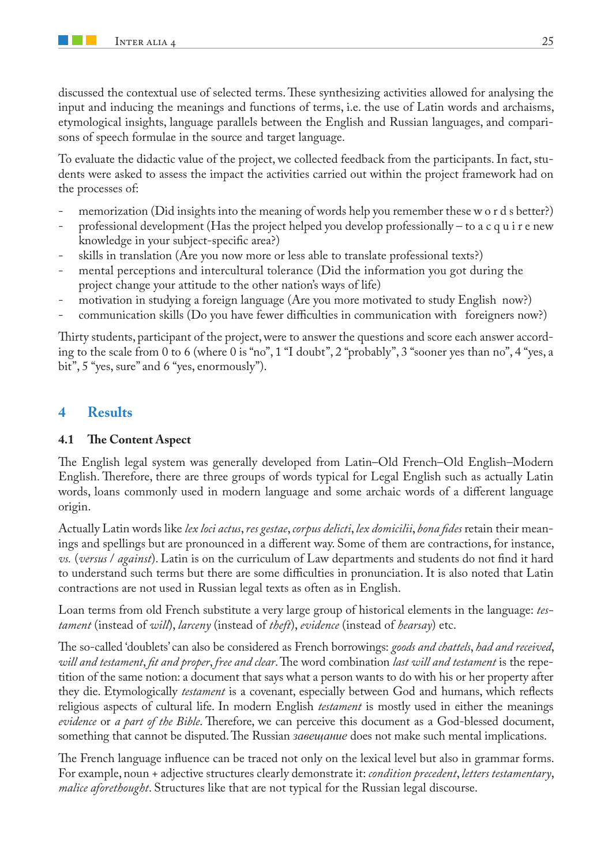discussed the contextual use of selected terms. These synthesizing activities allowed for analysing the input and inducing the meanings and functions of terms, i.e. the use of Latin words and archaisms, etymological insights, language parallels between the English and Russian languages, and comparisons of speech formulae in the source and target language.

To evaluate the didactic value of the project, we collected feedback from the participants. In fact, students were asked to assess the impact the activities carried out within the project framework had on the processes of:

- memorization (Did insights into the meaning of words help you remember these w o r d s better?)
- professional development (Has the project helped you develop professionally to a c q u i r e new knowledge in your subject-specific area?)
- skills in translation (Are you now more or less able to translate professional texts?)
- mental perceptions and intercultural tolerance (Did the information you got during the project change your attitude to the other nation's ways of life)
- motivation in studying a foreign language (Are you more motivated to study English now?)
- communication skills (Do you have fewer difficulties in communication with foreigners now?)

Thirty students, participant of the project, were to answer the questions and score each answer according to the scale from 0 to 6 (where 0 is "no", 1 "I doubt", 2 "probably", 3 "sooner yes than no", 4 "yes, a bit", 5 "yes, sure" and 6 "yes, enormously").

## **4 Results**

#### **4.1 The Content Aspect**

The English legal system was generally developed from Latin–Old French–Old English–Modern English. Therefore, there are three groups of words typical for Legal English such as actually Latin words, loans commonly used in modern language and some archaic words of a different language origin.

Actually Latin words like *lex loci actus*, *res gestae*, *corpus delicti*, *lex domicilii*, *bona fides* retain their meanings and spellings but are pronounced in a different way. Some of them are contractions, for instance, *vs.* (*versus* / *against*). Latin is on the curriculum of Law departments and students do not find it hard to understand such terms but there are some difficulties in pronunciation. It is also noted that Latin contractions are not used in Russian legal texts as often as in English.

Loan terms from old French substitute a very large group of historical elements in the language: *testament* (instead of *will*), *larceny* (instead of *theft*), *evidence* (instead of *hearsay*) etc.

The so-called 'doublets' can also be considered as French borrowings: *goods and chattels*, *had and received*, *will and testament*, *fit and proper*, *free and clear*. The word combination *last will and testament* is the repetition of the same notion: a document that says what a person wants to do with his or her property after they die. Etymologically *testament* is a covenant, especially between God and humans, which reflects religious aspects of cultural life. In modern English *testament* is mostly used in either the meanings *evidence* or *a part of the Bible*. Therefore, we can perceive this document as a God-blessed document, something that cannot be disputed. The Russian *завещание* does not make such mental implications.

The French language influence can be traced not only on the lexical level but also in grammar forms. For example, noun + adjective structures clearly demonstrate it: *condition precedent*, *letters testamentary*, *malice aforethought*. Structures like that are not typical for the Russian legal discourse.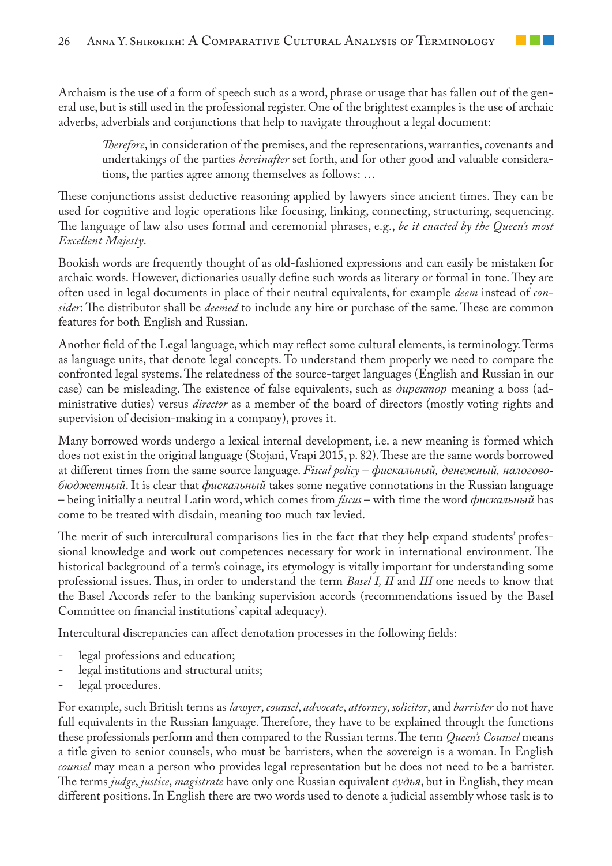Archaism is the use of a form of speech such as a word, phrase or usage that has fallen out of the general use, but is still used in the professional register. One of the brightest examples is the use of archaic adverbs, adverbials and conjunctions that help to navigate throughout a legal document:

*Therefore*, in consideration of the premises, and the representations, warranties, covenants and undertakings of the parties *hereinafter* set forth, and for other good and valuable considerations, the parties agree among themselves as follows: …

These conjunctions assist deductive reasoning applied by lawyers since ancient times. They can be used for cognitive and logic operations like focusing, linking, connecting, structuring, sequencing. The language of law also uses formal and ceremonial phrases, e.g., *be it enacted by the Queen's most Excellent Majesty*.

Bookish words are frequently thought of as old-fashioned expressions and can easily be mistaken for archaic words. However, dictionaries usually define such words as literary or formal in tone. They are often used in legal documents in place of their neutral equivalents, for example *deem* instead of *consider*: The distributor shall be *deemed* to include any hire or purchase of the same. These are common features for both English and Russian.

Another field of the Legal language, which may reflect some cultural elements, is terminology. Terms as language units, that denote legal concepts. To understand them properly we need to compare the confronted legal systems. The relatedness of the source-target languages (English and Russian in our case) can be misleading. The existence of false equivalents, such as *директор* meaning a boss (administrative duties) versus *director* as a member of the board of directors (mostly voting rights and supervision of decision-making in a company), proves it.

Many borrowed words undergo a lexical internal development, i.e. a new meaning is formed which does not exist in the original language (Stojani, Vrapi 2015, p. 82). These are the same words borrowed at different times from the same source language. *Fiscal policy* – *фискальный, денежный, налоговобюджетный*. It is clear that *фискальный* takes some negative connotations in the Russian language – being initially a neutral Latin word, which comes from *fiscus* – with time the word *фискальный* has come to be treated with disdain, meaning too much tax levied.

The merit of such intercultural comparisons lies in the fact that they help expand students' professional knowledge and work out competences necessary for work in international environment. The historical background of a term's coinage, its etymology is vitally important for understanding some professional issues. Thus, in order to understand the term *Basel I, II* and *III* one needs to know that the Basel Accords refer to the banking supervision accords (recommendations issued by the Basel Committee on financial institutions' capital adequacy).

Intercultural discrepancies can affect denotation processes in the following fields:

- legal professions and education;
- legal institutions and structural units;
- legal procedures.

For example, such British terms as *lawyer*, *counsel*, *advocate*, *attorney*, *solicitor*, and *barrister* do not have full equivalents in the Russian language. Therefore, they have to be explained through the functions these professionals perform and then compared to the Russian terms. The term *Queen's Counsel* means a title given to senior counsels, who must be barristers, when the sovereign is a woman. In English *counsel* may mean a person who provides legal representation but he does not need to be a barrister. The terms *judge*, *justice*, *magistrate* have only one Russian equivalent *судья*, but in English, they mean different positions. In English there are two words used to denote a judicial assembly whose task is to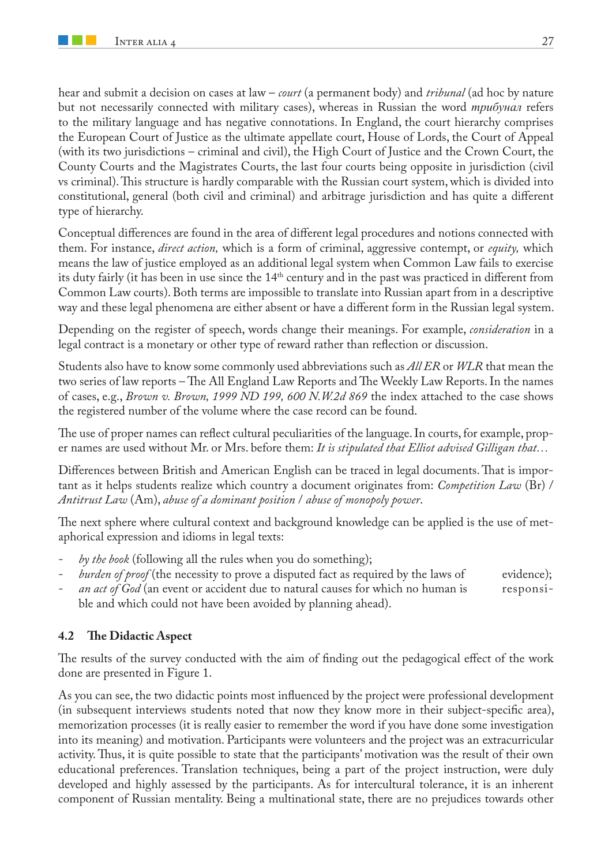hear and submit a decision on cases at law – *court* (a permanent body) and *tribunal* (ad hoc by nature but not necessarily connected with military cases), whereas in Russian the word *трибунал* refers to the military language and has negative connotations. In England, the court hierarchy comprises the European Court of Justice as the ultimate appellate court, House of Lords, the Court of Appeal (with its two jurisdictions – criminal and civil), the High Court of Justice and the Crown Court, the County Courts and the Magistrates Courts, the last four courts being opposite in jurisdiction (civil vs criminal). This structure is hardly comparable with the Russian court system, which is divided into constitutional, general (both civil and criminal) and arbitrage jurisdiction and has quite a different type of hierarchy.

Conceptual differences are found in the area of different legal procedures and notions connected with them. For instance, *direct action,* which is a form of criminal, aggressive contempt, or *equity,* which means the law of justice employed as an additional legal system when Common Law fails to exercise its duty fairly (it has been in use since the 14<sup>th</sup> century and in the past was practiced in different from Common Law courts). Both terms are impossible to translate into Russian apart from in a descriptive way and these legal phenomena are either absent or have a different form in the Russian legal system.

Depending on the register of speech, words change their meanings. For example, *consideration* in a legal contract is a monetary or other type of reward rather than reflection or discussion.

Students also have to know some commonly used abbreviations such as *All ER* or *WLR* that mean the two series of law reports – The All England Law Reports and The Weekly Law Reports. In the names of cases, e.g., *Brown v. Brown, 1999 ND 199, 600 N.W.2d 869* the index attached to the case shows the registered number of the volume where the case record can be found.

The use of proper names can reflect cultural peculiarities of the language. In courts, for example, proper names are used without Mr. or Mrs. before them: *It is stipulated that Elliot advised Gilligan that…* 

Differences between British and American English can be traced in legal documents. That is important as it helps students realize which country a document originates from: *Competition Law* (Br) / *Antitrust Law* (Am), *abuse of a dominant position* / *abuse of monopoly power*.

The next sphere where cultural context and background knowledge can be applied is the use of metaphorical expression and idioms in legal texts:

- *by the book* (following all the rules when you do something);
- *burden of proof* (the necessity to prove a disputed fact as required by the laws of evidence);
- an act of God (an event or accident due to natural causes for which no human is responsible and which could not have been avoided by planning ahead).

#### **4.2 The Didactic Aspect**

The results of the survey conducted with the aim of finding out the pedagogical effect of the work done are presented in Figure 1.

As you can see, the two didactic points most influenced by the project were professional development (in subsequent interviews students noted that now they know more in their subject-specific area), memorization processes (it is really easier to remember the word if you have done some investigation into its meaning) and motivation. Participants were volunteers and the project was an extracurricular activity. Thus, it is quite possible to state that the participants' motivation was the result of their own educational preferences. Translation techniques, being a part of the project instruction, were duly developed and highly assessed by the participants. As for intercultural tolerance, it is an inherent component of Russian mentality. Being a multinational state, there are no prejudices towards other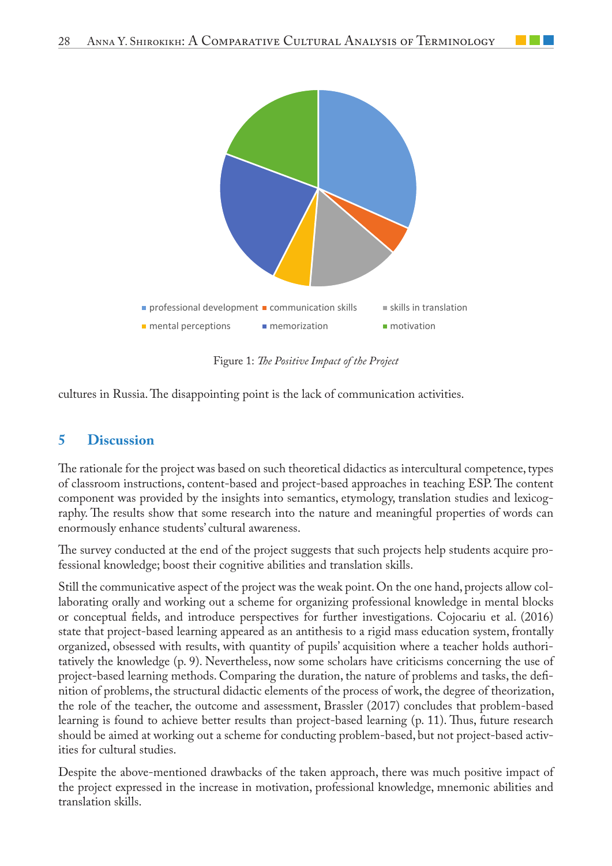

Figure 1: *The Positive Impact of the Project* 

cultures in Russia. The disappointing point is the lack of communication activities.

## **5 Discussion**

The rationale for the project was based on such theoretical didactics as intercultural competence, types of classroom instructions, content-based and project-based approaches in teaching ESP. The content component was provided by the insights into semantics, etymology, translation studies and lexicography. The results show that some research into the nature and meaningful properties of words can enormously enhance students' cultural awareness.

The survey conducted at the end of the project suggests that such projects help students acquire professional knowledge; boost their cognitive abilities and translation skills.

Still the communicative aspect of the project was the weak point. On the one hand, projects allow collaborating orally and working out a scheme for organizing professional knowledge in mental blocks or conceptual fields, and introduce perspectives for further investigations. Cojocariu et al. (2016) state that project-based learning appeared as an antithesis to a rigid mass education system, frontally organized, obsessed with results, with quantity of pupils' acquisition where a teacher holds authoritatively the knowledge (p. 9). Nevertheless, now some scholars have criticisms concerning the use of project-based learning methods. Comparing the duration, the nature of problems and tasks, the definition of problems, the structural didactic elements of the process of work, the degree of theorization, the role of the teacher, the outcome and assessment, Brassler (2017) concludes that problem-based learning is found to achieve better results than project-based learning (p. 11). Thus, future research should be aimed at working out a scheme for conducting problem-based, but not project-based activities for cultural studies.

Despite the above-mentioned drawbacks of the taken approach, there was much positive impact of the project expressed in the increase in motivation, professional knowledge, mnemonic abilities and translation skills.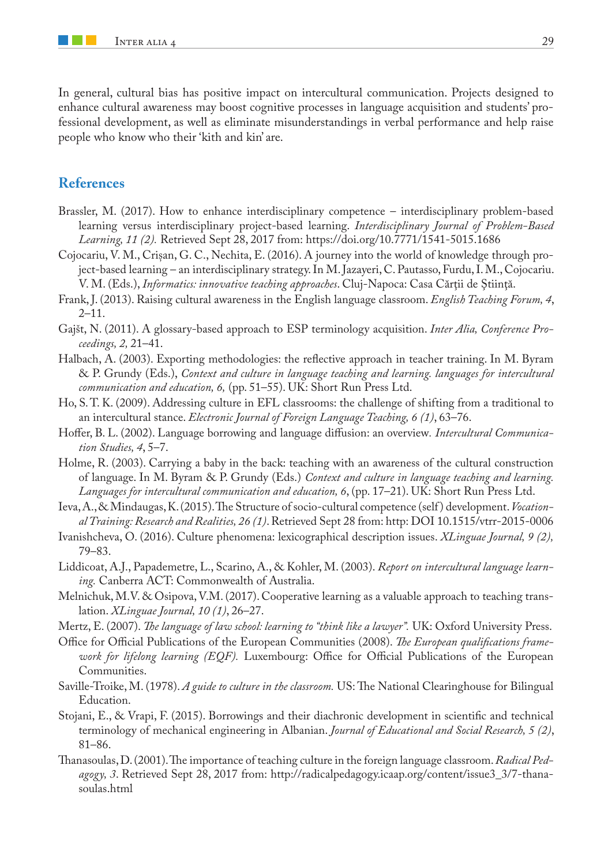In general, cultural bias has positive impact on intercultural communication. Projects designed to enhance cultural awareness may boost cognitive processes in language acquisition and students' professional development, as well as eliminate misunderstandings in verbal performance and help raise people who know who their 'kith and kin' are.

#### **References**

- Brassler, M. (2017). How to enhance interdisciplinary competence interdisciplinary problem-based learning versus interdisciplinary project-based learning. *Interdisciplinary Journal of Problem-Based Learning, 11 (2).* Retrieved Sept 28, 2017 from: https://doi.org/10.7771/1541-5015.1686
- Cojocariu, V. M., Crișan, G. C., Nechita, E. (2016). A journey into the world of knowledge through project-based learning – an interdisciplinary strategy. In M. Jazayeri, C. Pautasso, Furdu, I. M., Cojocariu. V. M. (Eds.), *Informatics: innovative teaching approaches*. Cluj-Napoca: Casa Cărții de Știință.
- Frank, J. (2013). Raising cultural awareness in the English language classroom. *English Teaching Forum, 4*,  $2 - 11.$
- Gajšt, N. (2011). A glossary-based approach to ESP terminology acquisition. *Inter Alia, Conference Proceedings, 2,* 21–41.
- Halbach, A. (2003). Exporting methodologies: the reflective approach in teacher training. In M. Byram & P. Grundy (Eds.), *Context and culture in language teaching and learning. languages for intercultural communication and education, 6,* (pp. 51–55). UK: Short Run Press Ltd.
- Ho, S. T. K. (2009). Addressing culture in EFL classrooms: the challenge of shifting from a traditional to an intercultural stance. *Electronic Journal of Foreign Language Teaching, 6 (1)*, 63–76.
- Hoffer, B. L. (2002). Language borrowing and language diffusion: an overview*. Intercultural Communication Studies, 4*, 5–7.
- Holme, R. (2003). Carrying a baby in the back: teaching with an awareness of the cultural construction of language. In M. Byram & P. Grundy (Eds.) *Context and culture in language teaching and learning. Languages for intercultural communication and education, 6*, (pp. 17–21). UK: Short Run Press Ltd.
- Ieva, A., & Mindaugas, K. (2015). The Structure of socio-cultural competence (self ) development. *Vocational Training: Research and Realities, 26 (1)*. Retrieved Sept 28 from: http: DOI 10.1515/vtrr-2015-0006
- Ivanishcheva, O. (2016). Culture phenomena: lexicographical description issues. *XLinguae Journal, 9 (2),* 79–83.
- Liddicoat, A.J., Papademetre, L., Scarino, A., & Kohler, M. (2003). *Report on intercultural language learning.* Canberra ACT: Commonwealth of Australia.
- Melnichuk, M.V. & Osipova, V.M. (2017). Cooperative learning as a valuable approach to teaching translation. *XLinguae Journal, 10 (1)*, 26–27.
- Mertz, E. (2007). *The language of law school: learning to "think like a lawyer".* UK: Oxford University Press.
- Office for Official Publications of the European Communities (2008). *The European qualifications framework for lifelong learning (EQF).* Luxembourg: Office for Official Publications of the European Communities.
- Saville-Troike, M. (1978). *A guide to culture in the classroom.* US: The National Clearinghouse for Bilingual Education.
- Stojani, E., & Vrapi, F. (2015). Borrowings and their diachronic development in scientific and technical terminology of mechanical engineering in Albanian. *Journal of Educational and Social Research, 5 (2)*, 81–86.
- Thanasoulas, D. (2001). The importance of teaching culture in the foreign language classroom. *Radical Pedagogy, 3*. Retrieved Sept 28, 2017 from: http://radicalpedagogy.icaap.org/content/issue3\_3/7-thanasoulas.html